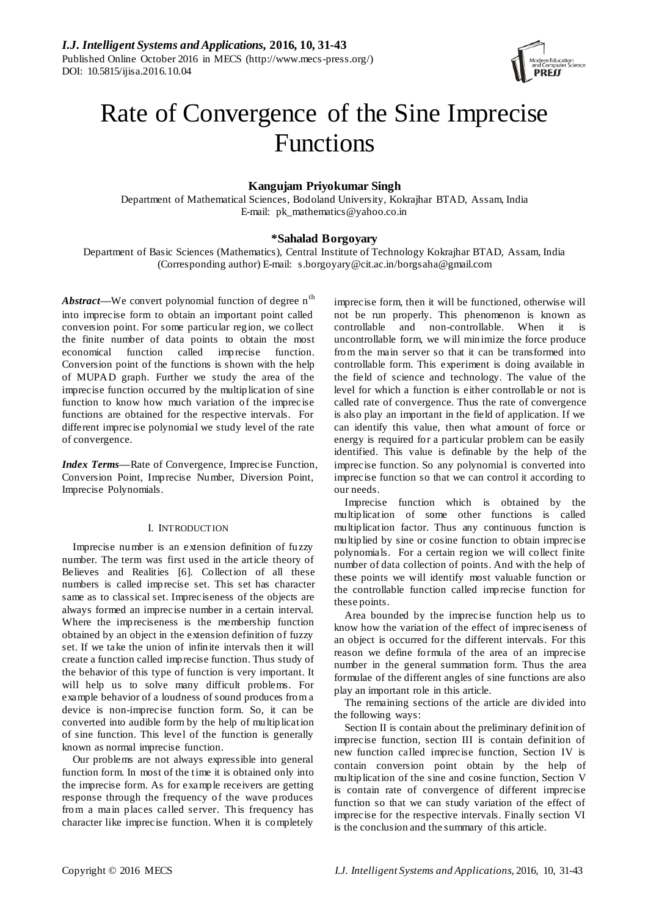

# Rate of Convergence of the Sine Imprecise Functions

# **Kangujam Priyokumar Singh**

Department of Mathematical Sciences, Bodoland University, Kokrajhar BTAD, Assam, India E-mail: [pk\\_mathematics@yahoo.co.in](mailto:pk_mathematics@yahoo.co.in)

# **\*Sahalad Borgoyary**

Department of Basic Sciences (Mathematics), Central Institute of Technology Kokrajhar BTAD, Assam, India (Corresponding author) E-mail: [s.borgoyary@cit.ac.in/borgsaha@gmail.com](mailto:s.borgoyary@cit.ac.in/borgsaha@gmail.com)

*Abstract*—We convert polynomial function of degree n<sup>th</sup> into imprecise form to obtain an important point called conversion point. For some particular region, we collect the finite number of data points to obtain the most economical function called imprecise function. Conversion point of the functions is shown with the help of MUPAD graph. Further we study the area of the imprecise function occurred by the multiplication of sine function to know how much variation of the imprecise functions are obtained for the respective intervals. For different imprecise polynomial we study level of the rate of convergence.

*Index Terms—*Rate of Convergence, Imprecise Function, Conversion Point, Imprecise Number, Diversion Point, Imprecise Polynomials.

# I. INTRODUCTION

Imprecise number is an extension definition of fuzzy number. The term was first used in the article theory of Believes and Realities [6]. Collection of all these numbers is called imprecise set. This set has character same as to classical set. Impreciseness of the objects are always formed an imprecise number in a certain interval. Where the impreciseness is the membership function obtained by an object in the extension definition of fuzzy set. If we take the union of infinite intervals then it will create a function called imprecise function. Thus study of the behavior of this type of function is very important. It will help us to solve many difficult problems. For example behavior of a loudness of sound produces from a device is non-imprecise function form. So, it can be converted into audible form by the help of multiplication of sine function. This level of the function is generally known as normal imprecise function.

Our problems are not always expressible into general function form. In most of the time it is obtained only into the imprecise form. As for example receivers are getting response through the frequency of the wave produces from a main places called server. This frequency has character like imprecise function. When it is completely

imprecise form, then it will be functioned, otherwise will not be run properly. This phenomenon is known as controllable and non-controllable. When it is uncontrollable form, we will minimize the force produce from the main server so that it can be transformed into controllable form. This experiment is doing available in the field of science and technology. The value of the level for which a function is either controllable or not is called rate of convergence. Thus the rate of convergence is also play an important in the field of application. If we can identify this value, then what amount of force or energy is required for a particular problem can be easily identified. This value is definable by the help of the imprecise function. So any polynomial is converted into imprecise function so that we can control it according to our needs.

Imprecise function which is obtained by the multiplication of some other functions is called multiplication factor. Thus any continuous function is multiplied by sine or cosine function to obtain imprecise polynomials. For a certain region we will collect finite number of data collection of points. And with the help of these points we will identify most valuable function or the controllable function called imprecise function for these points.

Area bounded by the imprecise function help us to know how the variation of the effect of impreciseness of an object is occurred for the different intervals. For this reason we define formula of the area of an imprecise number in the general summation form. Thus the area formulae of the different angles of sine functions are also play an important role in this article.

The remaining sections of the article are divided into the following ways:

Section II is contain about the preliminary definition of imprecise function, section III is contain definition of new function called imprecise function, Section IV is contain conversion point obtain by the help of multiplication of the sine and cosine function, Section V is contain rate of convergence of different imprecise function so that we can study variation of the effect of imprecise for the respective intervals. Finally section VI is the conclusion and the summary of this article.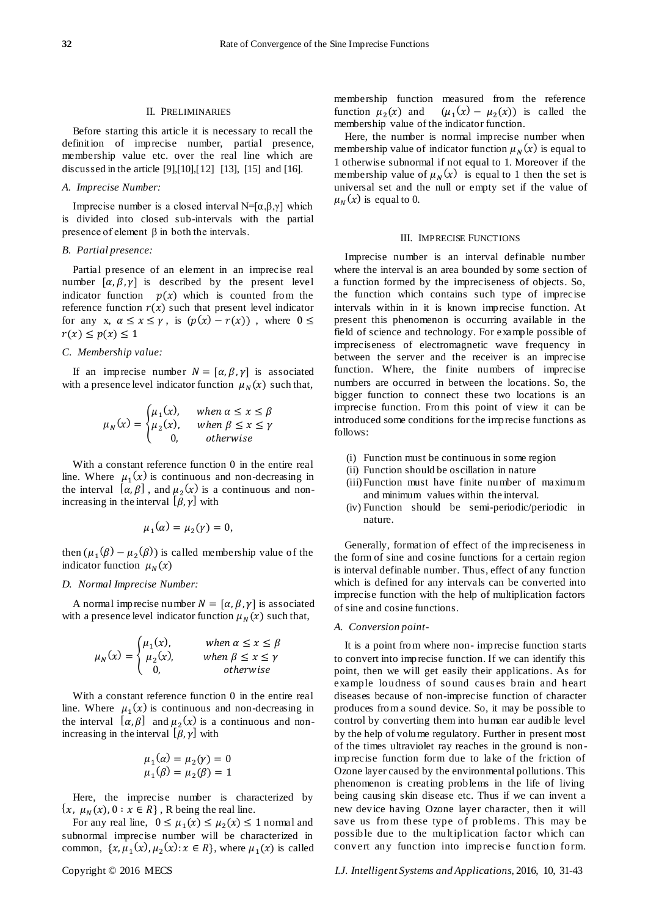## II. PRELIMINARIES

Before starting this article it is necessary to recall the definition of imprecise number, partial presence, membership value etc. over the real line which are discussed in the article [9],[10],[12] [13], [15] and [16].

## *A. Imprecise Number:*

Imprecise number is a closed interval N=[ $\alpha, \beta, \gamma$ ] which is divided into closed sub-intervals with the partial presence of element  $\beta$  in both the intervals.

## *B. Partial presence:*

Partial presence of an element in an imprecise real number  $[\alpha, \beta, \gamma]$  is described by the present level indicator function  $p(x)$  which is counted from the reference function  $r(x)$  such that present level indicator for any x,  $\alpha \leq x \leq \gamma$ , is  $(p(x) - r(x))$ , where  $0 \leq$  $r(x) \leq p(x) \leq 1$ 

## *C. Membership value:*

If an imprecise number  $N = [\alpha, \beta, \gamma]$  is associated with a presence level indicator function  $\mu_N(x)$  such that,

$$
\mu_N(x) = \begin{cases} \mu_1(x), & \text{when } \alpha \le x \le \beta \\ \mu_2(x), & \text{when } \beta \le x \le \gamma \\ 0, & \text{otherwise} \end{cases}
$$

With a constant reference function 0 in the entire real line. Where  $\mu_1(x)$  is continuous and non-decreasing in the interval  $[\alpha, \beta]$ , and  $\mu_2(x)$  is a continuous and nonincreasing in the interval  $[\beta, \gamma]$  with

$$
\mu_1(\alpha) = \mu_2(\gamma) = 0,
$$

then  $(\mu_1(\beta) - \mu_2(\beta))$  is called membership value of the indicator function  $\mu_N(x)$ 

#### *D. Normal Imprecise Number:*

A normal imprecise number  $N = [\alpha, \beta, \gamma]$  is associated with a presence level indicator function  $\mu_N(x)$  such that,

$$
\mu_N(x) = \begin{cases} \mu_1(x), & \text{when } \alpha \le x \le \beta \\ \mu_2(x), & \text{when } \beta \le x \le \gamma \\ 0, & \text{otherwise} \end{cases}
$$

With a constant reference function 0 in the entire real line. Where  $\mu_1(x)$  is continuous and non-decreasing in the interval  $[\alpha, \beta]$  and  $\mu_2(x)$  is a continuous and nonincreasing in the interval  $[\beta, \gamma]$  with

$$
\mu_1(\alpha) = \mu_2(\gamma) = 0
$$
  

$$
\mu_1(\beta) = \mu_2(\beta) = 1
$$

Here, the imprecise number is characterized by  $\{x, \mu_N(x), 0 : x \in R\}$ , R being the real line.

For any real line,  $0 \leq \mu_1(x) \leq \mu_2(x) \leq 1$  normal and subnormal imprecise number will be characterized in common,  $\{x, \mu_1(x), \mu_2(x): x \in \mathbb{R}\}$ , where  $\mu_1(x)$  is called membership function measured from the reference function  $\mu_2(x)$  and  $(x) - \mu_2(x)$  is called the membership value of the indicator function.

Here, the number is normal imprecise number when membership value of indicator function  $\mu_N(x)$  is equal to 1 otherwise subnormal if not equal to 1. Moreover if the membership value of  $\mu_N(x)$  is equal to 1 then the set is universal set and the null or empty set if the value of  $\mu_N(x)$  is equal to 0.

#### III. IMPRECISE FUNCTIONS

Imprecise number is an interval definable number where the interval is an area bounded by some section of a function formed by the impreciseness of objects. So, the function which contains such type of imprecise intervals within in it is known imprecise function. At present this phenomenon is occurring available in the field of science and technology. For example possible of impreciseness of electromagnetic wave frequency in between the server and the receiver is an imprecise function. Where, the finite numbers of imprecise numbers are occurred in between the locations. So, the bigger function to connect these two locations is an imprecise function. From this point of view it can be introduced some conditions for the imprecise functions as follows:

- (i) Function must be continuous in some region
- (ii) Function should be oscillation in nature
- (iii)Function must have finite number of maximum and minimum values within the interval.
- (iv) Function should be semi-periodic/periodic in nature.

Generally, formation of effect of the impreciseness in the form of sine and cosine functions for a certain region is interval definable number. Thus, effect of any function which is defined for any intervals can be converted into imprecise function with the help of multiplication factors of sine and cosine functions.

#### *A. Conversion point-*

It is a point from where non- imprecise function starts to convert into imprecise function. If we can identify this point, then we will get easily their applications. As for example loudness of sound caus es brain and heart diseases because of non-imprecise function of character produces from a sound device. So, it may be possible to control by converting them into human ear audible level by the help of volume regulatory. Further in present most of the times ultraviolet ray reaches in the ground is nonimprecise function form due to lake of the friction of Ozone layer caused by the environmental pollutions. This phenomenon is creating problems in the life of living being causing skin disease etc. Thus if we can invent a new device having Ozone layer character, then it will save us from these type of problems. This may be possible due to the multiplication factor which can convert any function into imprecise function form.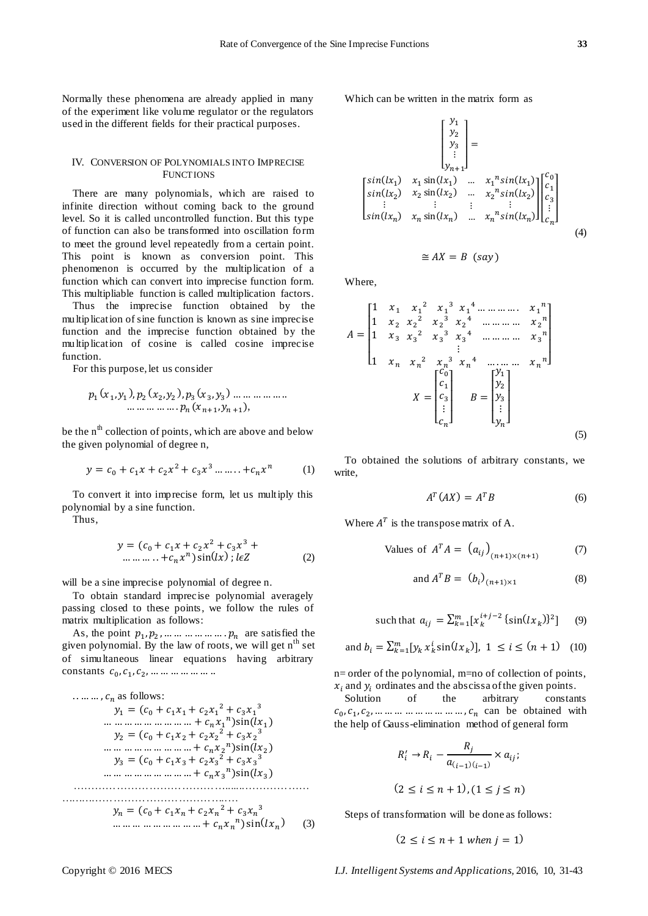Normally these phenomena are already applied in many of the experiment like volume regulator or the regulators used in the different fields for their practical purposes.

## IV. CONVERSION OF POLYNOMIALS INTO IMPRECISE **FUNCTIONS**

There are many polynomials, which are raised to infinite direction without coming back to the ground level. So it is called uncontrolled function. But this type of function can also be transformed into oscillation form to meet the ground level repeatedly from a certain point. This point is known as conversion point. This phenomenon is occurred by the multiplication of a function which can convert into imprecise function form. This multipliable function is called multiplication factors.

Thus the imprecise function obtained by the multiplication of sine function is known as sine imprecise function and the imprecise function obtained by the multiplication of cosine is called cosine imprecise function.

For this purpose, let us consider

$$
p_1(x_1, y_1), p_2(x_2, y_2), p_3(x_3, y_3) \dots \dots \dots \dots \dots
$$
  
... ... ... ...  $p_n(x_{n+1}, y_{n+1}),$ 

be the  $n^{\text{th}}$  collection of points, which are above and below the given polynomial of degree n,

$$
y = c_0 + c_1 x + c_2 x^2 + c_3 x^3 \dots + c_n x^n \tag{1}
$$

To convert it into imprecise form, let us multiply this polynomial by a sine function.

Thus,

$$
y = (c_0 + c_1 x + c_2 x^2 + c_3 x^3 + \dots + c_n x^n) \sin(kx); l \in \mathbb{Z}
$$
 (2)

will be a sine imprecise polynomial of degree n.

To obtain standard imprecise polynomial averagely passing closed to these points, we follow the rules of matrix multiplication as follows:

As, the point  $p_1, p_2, \dots \dots \dots \dots \dots p_n$  are satisfied the given polynomial. By the law of roots, we will get  $n<sup>th</sup>$  set of simultaneous linear equations having arbitrary constants  $c_0$ ,  $c_1$ ,  $c_2$ ,

 as follows: …………………………………….......……………… ………………………………………..… (3)

Which can be written in the matrix form as

$$
\begin{bmatrix} y_1 \\ y_2 \\ y_3 \\ \vdots \\ y_{n+1} \end{bmatrix} = \begin{bmatrix} y_1 \\ y_2 \\ \vdots \\ y_{n+1} \end{bmatrix}
$$
  

$$
\begin{bmatrix} \sin(lx_1) & x_1 \sin(lx_1) & \dots & x_1^n \sin(lx_1) \\ \sin(lx_2) & x_2 \sin(lx_2) & \dots & x_2^n \sin(lx_2) \\ \vdots & \vdots & \vdots & \vdots \\ \sin(lx_n) & x_n \sin(lx_n) & \dots & x_n^n \sin(lx_n) \end{bmatrix} \begin{bmatrix} c_0 \\ c_1 \\ c_2 \\ \vdots \\ c_n \end{bmatrix}
$$
  
(4)

$$
\cong AX = B \ (say)
$$

Where,

$$
A = \begin{bmatrix} 1 & x_1 & x_1^2 & x_1^3 & x_1^4 & \dots & x_1^n \\ 1 & x_2 & x_2^2 & x_2^3 & x_2^4 & \dots & x_n^2 \\ 1 & x_3 & x_3^2 & x_3^3 & x_3^4 & \dots & x_3^n \\ 1 & x_n & x_n^2 & x_n^3 & x_n^4 & \dots & x_n^2 \\ 1 & x_n & x_n^2 & x_n^3 & x_n^4 & \dots & x_n^2 \\ \vdots & \vdots & \vdots & \vdots & \vdots & \vdots \\ x_n & B = \begin{bmatrix} y_1 \\ y_2 \\ y_3 \\ \vdots \\ y_n \end{bmatrix}
$$
 (5)

To obtained the solutions of arbitrary constants, we write,

$$
A^T (AX) = A^T B \tag{6}
$$

Where  $A<sup>T</sup>$  is the transpose matrix of A.

Values of 
$$
A^T A = (a_{ij})_{(n+1)\times(n+1)}
$$
 (7)

$$
and AT B = (bi)(n+1)×1
$$
 (8)

such that 
$$
a_{ij} = \sum_{k=1}^{m} [x_k^{i+j-2} \{\sin(lx_k)\}^2]
$$
 (9)

and 
$$
b_i = \sum_{k=1}^{m} [y_k x_k^i \sin(lx_k)], 1 \le i \le (n+1)
$$
 (10)

n= order of the polynomial, m=no of collection of points,  $x_i$  and  $y_i$  ordinates and the abscissa of the given points.

Solution of the arbitrary constants  $c_0, c_1, c_2, \dots \dots \dots \dots \dots \dots \dots$ ,  $c_n$  can be obtained with the help of Gauss-elimination method of general form

$$
R'_{i} \rightarrow R_{i} - \frac{R_{j}}{a_{(i-1)(i-1)}} \times a_{ij};
$$
  
(2 \le i \le n + 1), (1 \le j \le n)

Steps of transformation will be done as follows:

$$
(2 \le i \le n+1
$$
 when  $j = 1)$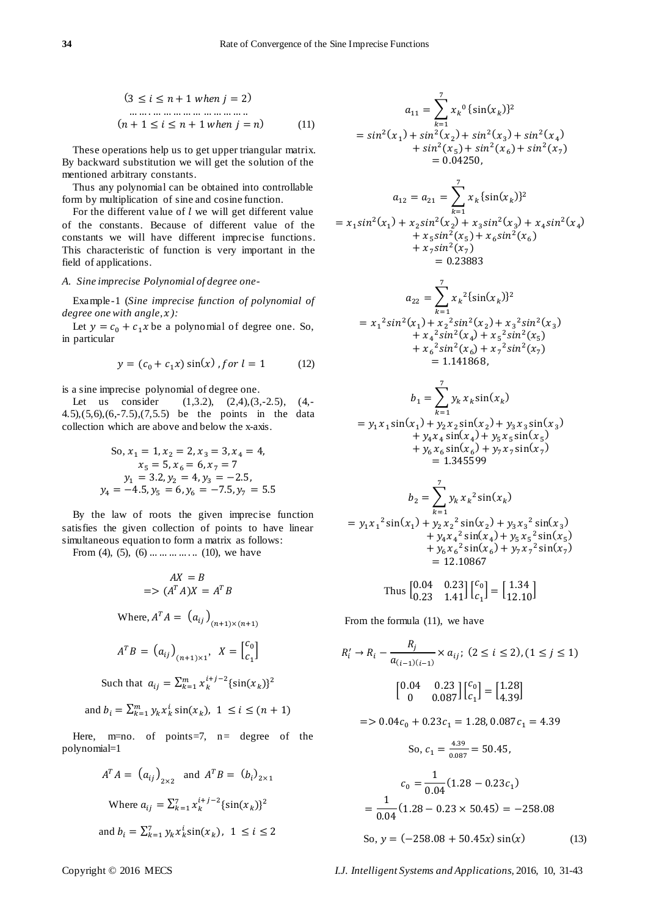$$
(3 \le i \le n+1 when j = 2)
$$
  
\n... ... ... ... ... ... ...  
\n
$$
(n+1 \le i \le n+1 when j = n)
$$
 (11)

These operations help us to get upper triangular matrix. By backward substitution we will get the solution of the mentioned arbitrary constants.

Thus any polynomial can be obtained into controllable form by multiplication of sine and cosine function.

For the different value of  $l$  we will get different value of the constants. Because of different value of the constants we will have different imprecise functions. This characteristic of function is very important in the field of applications.

# *A. Sine imprecise Polynomial of degree one-*

Example-1 (*Sine imprecise function of polynomial of degree one with angle, ):*

Let  $y = c_0 + c_1 x$  be a polynomial of degree one. So, in particular

$$
y = (c_0 + c_1 x) \sin(x) , \text{for } l = 1 \tag{12}
$$

is a sine imprecise polynomial of degree one.

Let us consider (1,3.2), (2,4),(3,-2.5), (4,-4.5),(5,6),(6,-7.5),(7,5.5) be the points in the data collection which are above and below the x-axis.

So, 
$$
x_1 = 1
$$
,  $x_2 = 2$ ,  $x_3 = 3$ ,  $x_4 = 4$ ,  
\n $x_5 = 5$ ,  $x_6 = 6$ ,  $x_7 = 7$   
\n $y_1 = 3.2$ ,  $y_2 = 4$ ,  $y_3 = -2.5$ ,  
\n $y_4 = -4.5$ ,  $y_5 = 6$ ,  $y_6 = -7.5$ ,  $y_7 = 5.5$ 

By the law of roots the given imprecise function satisfies the given collection of points to have linear simultaneous equation to form a matrix as follows:

From (4), (5), (6)  $\dots \dots \dots \dots$  (10), we have

$$
AX = B
$$
  
\n
$$
= > (AT A)X = AT B
$$
  
\nWhere,  $AT A = (a_{ij})_{(n+1) \times (n+1)}$   
\n $AT B = (a_{ij})_{(n+1) \times 1}, X = \begin{bmatrix} c_0 \\ c_1 \end{bmatrix}$ 

Such that 
$$
a_{ij} = \sum_{k=1}^{m} x_k^{i+j-2} \{ \sin(x_k) \}^2
$$

and 
$$
b_i = \sum_{k=1}^{m} y_k x_k^i \sin(x_k), \ 1 \le i \le (n+1)
$$

Here,  $m=no$ . of points=7,  $n=$  degree of the polynomial=1

$$
A^{T}A = (a_{ij})_{2 \times 2} \text{ and } A^{T}B = (b_{i})_{2 \times 1}
$$
  
Where  $a_{ij} = \sum_{k=1}^{7} x_{k}^{i+j-2} {\sin(x_{k})}^{2}$   
and  $b_{i} = \sum_{k=1}^{7} y_{k} x_{k}^{i} \sin(x_{k}), 1 \le i \le 2$ 

$$
a_{11} = \sum_{k=1}^{7} x_k^0 {\sin(x_k)}^2
$$
  
=  $\sin^2(x_1) + \sin^2(x_2) + \sin^2(x_3) + \sin^2(x_4)$   
+  $\sin^2(x_5) + \sin^2(x_6) + \sin^2(x_7)$   
= 0.04250,

$$
a_{12} = a_{21} = \sum_{k=1}^{7} x_k \{\sin(x_k)\}^2
$$
  
=  $x_1 \sin^2(x_1) + x_2 \sin^2(x_2) + x_3 \sin^2(x_3) + x_4 \sin^2(x_4)$   
+  $x_5 \sin^2(x_5) + x_6 \sin^2(x_6)$   
+  $x_7 \sin^2(x_7)$   
= 0.23883

$$
a_{22} = \sum_{k=1}^{7} x_k^2 \{ \sin(x_k) \}^2
$$
  
=  $x_1^2 \sin^2(x_1) + x_2^2 \sin^2(x_2) + x_3^2 \sin^2(x_3)$   
+  $x_4^2 \sin^2(x_4) + x_5^2 \sin^2(x_5)$   
+  $x_6^2 \sin^2(x_6) + x_7^2 \sin^2(x_7)$   
= 1.141868,

$$
b_1 = \sum_{k=1}^{7} y_k x_k \sin(x_k)
$$
  
=  $y_1 x_1 \sin(x_1) + y_2 x_2 \sin(x_2) + y_3 x_3 \sin(x_3)$   
+  $y_4 x_4 \sin(x_4) + y_5 x_5 \sin(x_5)$   
+  $y_6 x_6 \sin(x_6) + y_7 x_7 \sin(x_7)$   
= 1.345599

$$
b_2 = \sum_{k=1}^7 y_k x_k^2 \sin(x_k)
$$
  
=  $y_1 x_1^2 \sin(x_1) + y_2 x_2^2 \sin(x_2) + y_3 x_3^2 \sin(x_3)$   
+  $y_4 x_4^2 \sin(x_4) + y_5 x_5^2 \sin(x_5)$   
+  $y_6 x_6^2 \sin(x_6) + y_7 x_7^2 \sin(x_7)$   
= 12.10867

Thus 
$$
\begin{bmatrix} 0.04 & 0.23 \\ 0.23 & 1.41 \end{bmatrix} \begin{bmatrix} c_0 \\ c_1 \end{bmatrix} = \begin{bmatrix} 1.34 \\ 12.10 \end{bmatrix}
$$

From the formula (11), we have

$$
R'_{i} \rightarrow R_{i} - \frac{R_{j}}{a_{(i-1)(i-1)}} \times a_{ij}; (2 \le i \le 2), (1 \le j \le 1)
$$

$$
\begin{bmatrix} 0.04 & 0.23 \\ 0 & 0.087 \end{bmatrix} \begin{bmatrix} c_{0} \\ c_{1} \end{bmatrix} = \begin{bmatrix} 1.28 \\ 4.39 \end{bmatrix}
$$

$$
=
$$
 0.04 $c_0$  + 0.23 $c_1$  = 1.28, 0.087 $c_1$  = 4.39

So, 
$$
c_1 = \frac{4.39}{0.087} = 50.45
$$
,  
\n
$$
c_0 = \frac{1}{0.04} (1.28 - 0.23c_1)
$$
\n
$$
= \frac{1}{0.04} (1.28 - 0.23 \times 50.45) = -258.08
$$
\nSo,  $y = (-258.08 + 50.45x) \sin(x)$  (13)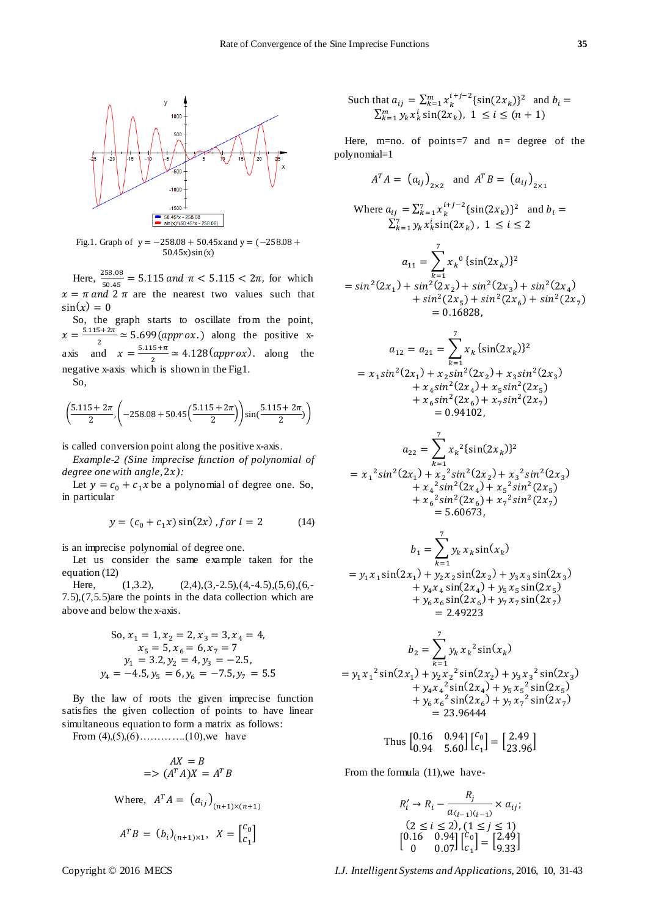

Fig.1. Graph of  $y = -258.08 + 50.45x$  and  $y = (-258.08 +$  $50.45x)sin(x)$ 

Here,  $\frac{256.06}{50.45}$  = 5.115 and  $\pi$  < 5.115 < 2 $\pi$ , for which  $x = \pi$  and  $2 \pi$  are the nearest two values such that  $sin(x) = 0$ 

So, the graph starts to oscillate from the point,  $x = \frac{5.115 + 2\pi}{2} \approx 5.699 (approx.)$  along the positive x- $\overline{2}$ axis and  $x = \frac{5}{x}$  $\frac{a_{3}+n}{2} \approx 4.128 (approx)$ . along the negative x-axis which is shown in the Fig1.

So,

$$
\left(\frac{5.115 + 2\pi}{2}, \left(-258.08 + 50.45\left(\frac{5.115 + 2\pi}{2}\right)\right)\sin\left(\frac{5.115 + 2\pi}{2}\right)\right)
$$

is called conversion point along the positive x-axis.

*Example-2 (Sine imprecise function of polynomial of degree one with angle, ):*

Let  $y = c_0 + c_1 x$  be a polynomial of degree one. So, in particular

$$
y = (c_0 + c_1 x) \sin(2x) , \text{for } l = 2 \tag{14}
$$

is an imprecise polynomial of degree one.

Let us consider the same example taken for the equation (12)

Here,  $(1,3.2)$ ,  $(2,4),(3,-2.5),(4,-4.5),(5,6),(6,-1.5)$ 7.5),(7,5.5)are the points in the data collection which are above and below the x-axis.

So, 
$$
x_1 = 1
$$
,  $x_2 = 2$ ,  $x_3 = 3$ ,  $x_4 = 4$ ,  
\t $x_5 = 5$ ,  $x_6 = 6$ ,  $x_7 = 7$   
\t $y_1 = 3.2$ ,  $y_2 = 4$ ,  $y_3 = -2.5$ ,  
\t $y_4 = -4.5$ ,  $y_5 = 6$ ,  $y_6 = -7.5$ ,  $y_7 = 5.5$ 

By the law of roots the given imprecise function satisfies the given collection of points to have linear simultaneous equation to form a matrix as follows:

From  $(4)$ ,  $(5)$ ,  $(6)$ ………...(10), we have

$$
AX = B
$$
  
=>  $(A^T A)X = A^T B$   
Where,  $A^T A = (a_{ij})_{(n+1)\times(n+1)}$   
 $A^T B = (b_i)_{(n+1)\times1}, X = \begin{bmatrix} c_0 \\ c_1 \end{bmatrix}$ 

Such that 
$$
a_{ij} = \sum_{k=1}^{m} x_k^{i+j-2} \{\sin(2x_k)\}^2
$$
 and  $b_i = \sum_{k=1}^{m} y_k x_k^i \sin(2x_k)$ ,  $1 \le i \le (n+1)$ 

Here,  $m=no$ . of points=7 and  $n=$  degree of the polynomial=1

$$
AT A = (a_{ij})2×2 \text{ and } AT B = (a_{ij})2×1
$$
  
\nWhere  $a_{ij} = \sum_{k=1}^{7} x_k^{i+j-2} \{\sin(2x_k)\}^2$  and  $b_i = \sum_{k=1}^{7} y_k x_k^{i} \sin(2x_k), 1 \le i \le 2$   
\n
$$
a_{11} = \sum_{k=1}^{7} x_k^{0} \{\sin(2x_k)\}^2
$$
  
\n
$$
= \sin^2(2x_1) + \sin^2(2x_2) + \sin^2(2x_3) + \sin^2(2x_4) + \sin^2(2x_5) + \sin^2(2x_6) + \sin^2(2x_7)
$$
  
\n
$$
= 0.16828,
$$

$$
a_{12} = a_{21} = \sum_{k=1}^{7} x_k \{\sin(2x_k)\}^2
$$
  
=  $x_1 \sin^2(2x_1) + x_2 \sin^2(2x_2) + x_3 \sin^2(2x_3)$   
+  $x_4 \sin^2(2x_4) + x_5 \sin^2(2x_5)$   
+  $x_6 \sin^2(2x_6) + x_7 \sin^2(2x_7)$   
= 0.94102,

$$
a_{22} = \sum_{k=1}^{7} x_k^2 {\sin(2x_k)}^2
$$
  
=  $x_1^2 \sin^2(2x_1) + x_2^2 \sin^2(2x_2) + x_3^2 \sin^2(2x_3)$   
+  $x_4^2 \sin^2(2x_4) + x_5^2 \sin^2(2x_5)$   
+  $x_6^2 \sin^2(2x_6) + x_7^2 \sin^2(2x_7)$   
= 5.60673,

$$
b_1 = \sum_{k=1}^7 y_k x_k \sin(x_k)
$$
  
=  $y_1 x_1 \sin(2x_1) + y_2 x_2 \sin(2x_2) + y_3 x_3 \sin(2x_3)$   
+  $y_4 x_4 \sin(2x_4) + y_5 x_5 \sin(2x_5)$   
+  $y_6 x_6 \sin(2x_6) + y_7 x_7 \sin(2x_7)$   
= 2.49223

$$
b_2 = \sum_{k=1}^7 y_k x_k^2 \sin(x_k)
$$
  
=  $y_1 x_1^2 \sin(2x_1) + y_2 x_2^2 \sin(2x_2) + y_3 x_3^2 \sin(2x_3)$   
+  $y_4 x_4^2 \sin(2x_4) + y_5 x_5^2 \sin(2x_5)$   
+  $y_6 x_6^2 \sin(2x_6) + y_7 x_7^2 \sin(2x_7)$   
= 23.96444

Thus 
$$
\begin{bmatrix} 0.16 & 0.94 \\ 0.94 & 5.60 \end{bmatrix} \begin{bmatrix} c_0 \\ c_1 \end{bmatrix} = \begin{bmatrix} 2.49 \\ 23.96 \end{bmatrix}
$$

From the formula (11),we have-

$$
R'_{i} \rightarrow R_{i} - \frac{R_{j}}{a_{(i-1)(i-1)}} \times a_{ij};
$$
  
\n
$$
\begin{array}{c} (2 \leq i \leq 2), (1 \leq j \leq 1) \\ [0.16 \quad 0.94] \begin{bmatrix} c_{0} \\ c_{1} \end{bmatrix} = \begin{bmatrix} 2.49 \\ 9.33 \end{bmatrix} \end{array}
$$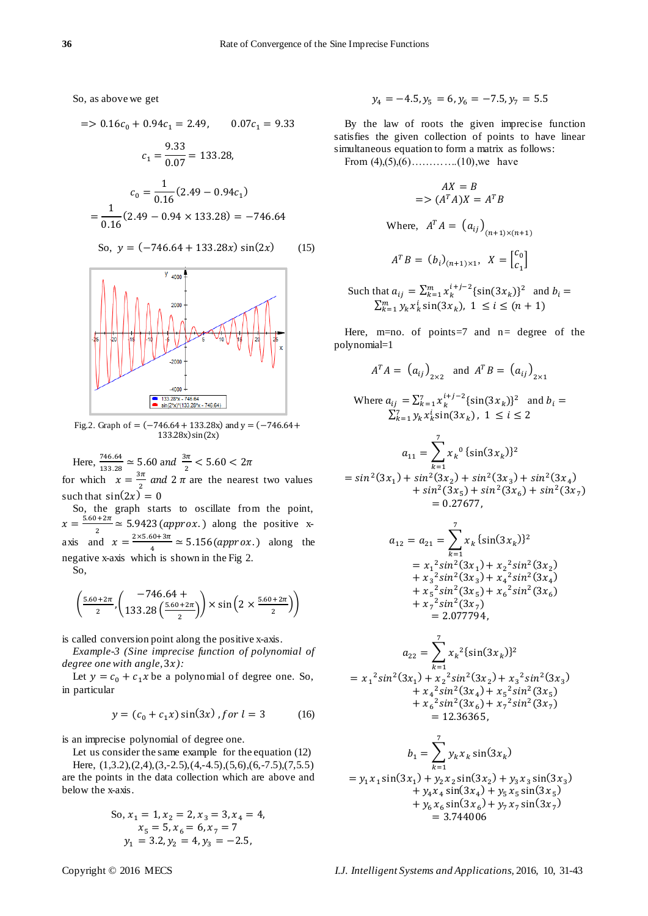So, as above we get

$$
= 0.16c_0 + 0.94c_1 = 2.49, \t 0.07c_1 = 9.33
$$

$$
c_1 = \frac{9.33}{0.07} = 133.28,
$$

$$
c_0 = \frac{1}{0.16}(2.49 - 0.94c_1)
$$

$$
= \frac{1}{0.16}(2.49 - 0.94 \times 133.28) = -746.64
$$

So, 
$$
y = (-746.64 + 133.28x) \sin(2x)
$$
 (15)



Fig.2. Graph of =  $(-746.64 + 133.28x)$  and  $y = (-746.64 +$  $133.28x)sin(2x)$ 

Here,  $\frac{740.04}{133.28} \approx 5.60$  and  $\frac{3h}{2}$  < for which  $x = \frac{3}{4}$  $\frac{\pi}{2}$  and  $2 \pi$  are the nearest two values such that  $sin(2x) = 0$ 

So, the graph starts to oscillate from the point,  $x=\frac{5}{x}$  $\frac{a_{2n}}{2} \approx 5.9423 \,(approx.)$  along the positive xaxis and  $x = \frac{2}{x}$  $\frac{30+3h}{4} \approx 5.156 (approx.)$  along the negative x-axis which is shown in the Fig 2. So,

$$
\left(\frac{5.60+2\pi}{2}, \left(\frac{-746.64+}{133.28\left(\frac{5.60+2\pi}{2}\right)}\right) \times \sin\left(2 \times \frac{5.60+2\pi}{2}\right)\right)
$$

is called conversion point along the positive x-axis.

*Example-3 (Sine imprecise function of polynomial of degree one with angle, ):*

Let  $y = c_0 + c_1 x$  be a polynomial of degree one. So, in particular

$$
y = (c_0 + c_1 x) \sin(3x) , \text{for } l = 3 \tag{16}
$$

is an imprecise polynomial of degree one.

Let us consider the same example for the equation (12)

Here, (1,3.2),(2,4),(3,-2.5),(4,-4.5),(5,6),(6,-7.5),(7,5.5) are the points in the data collection which are above and below the x-axis.

So, 
$$
x_1 = 1
$$
,  $x_2 = 2$ ,  $x_3 = 3$ ,  $x_4 = 4$ ,  
\n $x_5 = 5$ ,  $x_6 = 6$ ,  $x_7 = 7$   
\n $y_1 = 3.2$ ,  $y_2 = 4$ ,  $y_3 = -2.5$ ,

$$
y_4 = -4.5, y_5 = 6, y_6 = -7.5, y_7 = 5.5
$$

By the law of roots the given imprecise function satisfies the given collection of points to have linear simultaneous equation to form a matrix as follows: From  $(4)$ , $(5)$ , $(6)$ …………...(10),we have

$$
AX = B
$$
  
=>  $(A^T A)X = A^T B$   
Where,  $A^T A = (a_{ij})_{(n+1)\times(n+1)}$   
 $A^T B = (b_i)_{(n+1)\times 1}, X = \begin{bmatrix} c_0 \\ c_1 \end{bmatrix}$ 

Such that  $a_{ij} = \sum_{k=1}^{m} x_k^{i+j-2} \{ \sin(3x_k) \}^2$  and  $\sum_{k=1}^m y_k x_k^i \sin(3x_k)$ 

Here,  $m=no$ . of points=7 and  $n=$  degree of the polynomial=1

$$
A^T A = (a_{ij})_{2 \times 2} \text{ and } A^T B = (a_{ij})_{2 \times 1}
$$

Where 
$$
a_{ij} = \sum_{k=1}^{7} x_k^{i+j-2} \{\sin(3x_k)\}^2
$$
 and  $b_i = \sum_{k=1}^{7} y_k x_k^{i} \sin(3x_k)$ ,  $1 \le i \le 2$ 

$$
a_{11} = \sum_{k=1}^{7} x_k^0 \{ \sin(3x_k) \}^2
$$
  
= sin<sup>2</sup>(3x<sub>1</sub>) + sin<sup>2</sup>(3x<sub>2</sub>) + sin<sup>2</sup>(3x<sub>3</sub>) + sin<sup>2</sup>(3x<sub>4</sub>)  
+ sin<sup>2</sup>(3x<sub>5</sub>) + sin<sup>2</sup>(3x<sub>6</sub>) + sin<sup>2</sup>(3x<sub>7</sub>)  
= 0.27677,

$$
a_{12} = a_{21} = \sum_{k=1}^{7} x_k \{\sin(3x_k)\}^2
$$
  
=  $x_1^2 \sin^2(3x_1) + x_2^2 \sin^2(3x_2)$   
+  $x_3^2 \sin^2(3x_3) + x_4^2 \sin^2(3x_4)$   
+  $x_5^2 \sin^2(3x_5) + x_6^2 \sin^2(3x_6)$   
+  $x_7^2 \sin^2(3x_7)$   
= 2.077794,

$$
a_{22} = \sum_{k=1}^{7} x_k^2 {\sin(3x_k)}^2
$$
  
=  $x_1^2 \sin^2(3x_1) + x_2^2 \sin^2(3x_2) + x_3^2 \sin^2(3x_3)$   
+  $x_4^2 \sin^2(3x_4) + x_5^2 \sin^2(3x_5)$   
+  $x_6^2 \sin^2(3x_6) + x_7^2 \sin^2(3x_7)$   
= 12.36365,

$$
b_1 = \sum_{k=1}^7 y_k x_k \sin(3x_k)
$$
  
=  $y_1 x_1 \sin(3x_1) + y_2 x_2 \sin(3x_2) + y_3 x_3 \sin(3x_3)$   
+  $y_4 x_4 \sin(3x_4) + y_5 x_5 \sin(3x_5)$   
+  $y_6 x_6 \sin(3x_6) + y_7 x_7 \sin(3x_7)$   
= 3.744006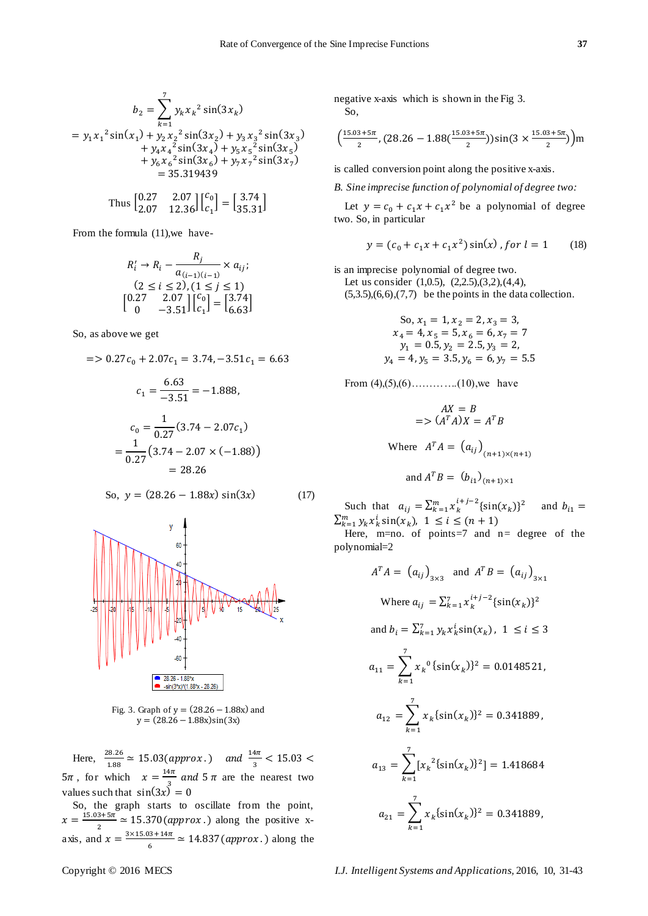(

$$
b_2 = \sum_{k=1}^7 y_k x_k^2 \sin(3x_k)
$$
  
\n
$$
y_1 x_1^2 \sin(x_1) + y_2 x_2^2 \sin(3x_2) + y_3 x_3^2 \sin(3x_3)
$$
  
\n
$$
+ y_4 x_4^2 \sin(3x_4) + y_5 x_5^2 \sin(3x_5)
$$
  
\n
$$
+ y_6 x_6^2 \sin(3x_6) + y_7 x_7^2 \sin(3x_7)
$$
  
\n= 35.319439

Thus 
$$
\begin{bmatrix} 0.27 & 2.07 \\ 2.07 & 12.36 \end{bmatrix} \begin{bmatrix} c_0 \\ c_1 \end{bmatrix} = \begin{bmatrix} 3.74 \\ 35.31 \end{bmatrix}
$$

From the formula (11),we have-

$$
R'_{i} \rightarrow R_{i} - \frac{R_{j}}{a_{(i-1)(i-1)}} \times a_{ij};
$$
  
(2 \le i \le 2), (1 \le j \le 1)  
[0.27 2.07] $\begin{bmatrix}c_{0} \\ c_{1} \end{bmatrix} = \begin{bmatrix}3.74 \\ 6.63\end{bmatrix}$ 

So, as above we get

 $\equiv$ 

$$
= 0.27c_0 + 2.07c_1 = 3.74, -3.51c_1 = 6.63
$$

$$
c_1 = \frac{6.63}{-3.51} = -1.888,
$$

$$
c_0 = \frac{1}{0.27}(3.74 - 2.07c_1)
$$

$$
= \frac{1}{0.27}(3.74 - 2.07 \times (-1.88))
$$

$$
= 28.26
$$

 $\sim$   $\sim$ 

So, 
$$
y = (28.26 - 1.88x) \sin(3x)
$$
 (17)



Fig. 3. Graph of  $y = (28.26 - 1.88x)$  and  $y = (28.26 - 1.88x)sin(3x)$ 

Here,  $\frac{26.26}{1.88} \approx 15.03 (approx.)$  and  $\frac{14h}{3} <$  $5\pi$ , for which  $x = \frac{1}{x}$  $\frac{4\pi}{3}$  and  $5\pi$  are the nearest two values such that  $sin(3x) = 0$ 

So, the graph starts to oscillate from the point,  $x=\frac{1}{x}$  $\frac{a_{3x-3h}}{2} \approx 15.370 (approx.)$  along the positive xaxis, and  $x = \frac{3}{x}$  $\frac{35+14h}{6} \approx 14.837 (approx.)$  along the

negative x-axis which is shown in the Fig 3. So,

$$
\left(\frac{15.03+5\pi}{2}, (28.26-1.88(\frac{15.03+5\pi}{2}))\sin(3 \times \frac{15.03+5\pi}{2})\right) \text{m}
$$

is called conversion point along the positive x-axis.

*B. Sine imprecise function of polynomial of degree two:*

Let  $y = c_0 + c_1 x + c_1 x^2$  be a polynomial of degree two. So, in particular

$$
y = (c_0 + c_1 x + c_1 x^2) \sin(x) , \text{for } l = 1 \qquad (18)
$$

is an imprecise polynomial of degree two. Let us consider (1,0.5), (2,2.5),(3,2),(4,4),  $(5,3.5),(6,6),(7,7)$  be the points in the data collection.

So, 
$$
x_1 = 1
$$
,  $x_2 = 2$ ,  $x_3 = 3$ ,  
\n $x_4 = 4$ ,  $x_5 = 5$ ,  $x_6 = 6$ ,  $x_7 = 7$   
\n $y_1 = 0.5$ ,  $y_2 = 2.5$ ,  $y_3 = 2$ ,  
\n $y_4 = 4$ ,  $y_5 = 3.5$ ,  $y_6 = 6$ ,  $y_7 = 5.5$ 

From  $(4)$ ,  $(5)$ ,  $(6)$ ………...(10), we have

$$
AX = B
$$
  
=>  $(A^T A)X = A^T B$   
Where  $A^T A = (a_{ij})_{(n+1)\times(n+1)}$   
and  $A^T B = (b_{i1})_{(n+1)\times1}$ 

Such that  $a_{ij} = \sum_{k=1}^{m} x_k^{i+j-2} \{ \sin(x_k) \}^2$  and  $\sum_{k=1}^m y_k x_k^i \sin(x_k)$ 

Here, m=no. of points=7 and n= degree of the polynomial=2

$$
AT A = (aij)3×3 and AT B = (aij)3×1
$$
  
Where  $a_{ij} = \sum_{k=1}^{7} x_k^{i+j-2} \{\sin(x_k)\}^2$   
and  $b_i = \sum_{k=1}^{7} y_k x_k^{i} \sin(x_k), 1 \le i \le 3$   
 $a_{11} = \sum_{k=1}^{7} x_k^{0} \{\sin(x_k)\}^2 = 0.0148521,$   
 $a_{12} = \sum_{k=1}^{7} x_k \{\sin(x_k)\}^2 = 0.341889,$   
 $a_{13} = \sum_{k=1}^{7} [x_k^{2} \{\sin(x_k)\}^2] = 1.418684$   
 $a_{21} = \sum_{k=1}^{7} x_k \{\sin(x_k)\}^2 = 0.341889,$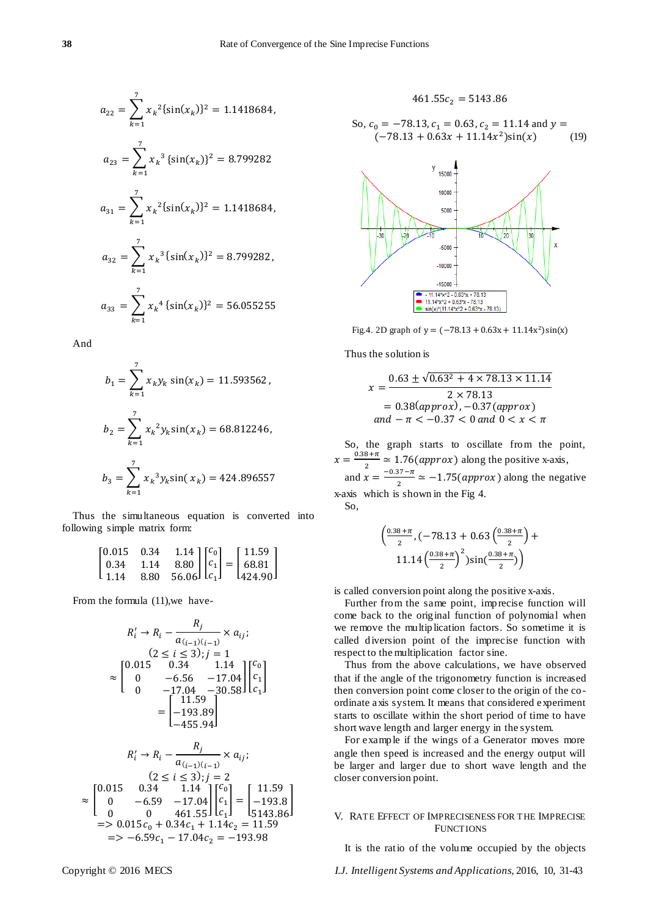$$
a_{22} = \sum_{k=1}^{7} x_k^2 \{ \sin(x_k) \}^2 = 1.1418684,
$$
  
\n
$$
a_{23} = \sum_{k=1}^{7} x_k^3 \{ \sin(x_k) \}^2 = 8.799282
$$
  
\n
$$
a_{31} = \sum_{k=1}^{7} x_k^2 \{ \sin(x_k) \}^2 = 1.1418684,
$$
  
\n
$$
a_{32} = \sum_{k=1}^{7} x_k^3 \{ \sin(x_k) \}^2 = 8.799282,
$$
  
\n
$$
a_{33} = \sum_{k=1}^{7} x_k^4 \{ \sin(x_k) \}^2 = 56.055255
$$

And

$$
b_1 = \sum_{k=1}^7 x_k y_k \sin(x_k) = 11.593562,
$$
  
\n
$$
b_2 = \sum_{k=1}^7 x_k^2 y_k \sin(x_k) = 68.812246,
$$
  
\n
$$
b_3 = \sum_{k=1}^7 x_k^3 y_k \sin(x_k) = 424.896557
$$

Thus the simultaneous equation is converted into following simple matrix form:

| $[0.015 \quad 0.34]$                        |  |  |                                                                                                                                                                                |  |
|---------------------------------------------|--|--|--------------------------------------------------------------------------------------------------------------------------------------------------------------------------------|--|
| $\begin{bmatrix} 0.34 & 1.14 \end{bmatrix}$ |  |  | 0.34 1.14 $\begin{bmatrix} c_0 \\ c_1 \\ 8.80 \\ 56.06 \end{bmatrix} \begin{bmatrix} c_0 \\ c_1 \\ c_1 \end{bmatrix} = \begin{bmatrix} 11.59 \\ 68.81 \\ 424.90 \end{bmatrix}$ |  |
| L 1.14                                      |  |  |                                                                                                                                                                                |  |

From the formula (11),we have-

$$
R'_i \rightarrow R_i - \frac{R_j}{a_{(i-1)(i-1)}} \times a_{ij};
$$
  
\n
$$
(2 \le i \le 3); j = 1
$$
  
\n
$$
\approx \begin{bmatrix} 0.015 & 0.34 & 1.14 \\ 0 & -6.56 & -17.04 \\ 0 & -17.04 & -30.58 \end{bmatrix} \begin{bmatrix} c_0 \\ c_1 \\ c_1 \\ c_1 \end{bmatrix}
$$
  
\n
$$
= \begin{bmatrix} 11.59 \\ -193.89 \\ -455.94 \end{bmatrix}
$$
  
\n
$$
R'_i \rightarrow R_i - \frac{R_j}{a_{(i-1)(i-1)}} \times a_{ij};
$$
  
\n
$$
(2 \le i \le 3); j = 2
$$
  
\n
$$
\approx \begin{bmatrix} 0.015 & 0.34 & 1.14 \\ 0 & -6.59 & -17.04 \\ 0 & 0 & 461.55 \end{bmatrix} \begin{bmatrix} c_1 \\ c_1 \\ c_1 \end{bmatrix} = \begin{bmatrix} 11.59 \\ -193.8 \\ 5143.86 \\ 5143.86 \\ = > 0.015c_0 + 0.34c_1 + 1.14c_2 = 11.59 \\ = > -6.59c_1 - 17.04c_2 = -193.98
$$

]

$$
461.55c_2 = 5143.86
$$

So, 
$$
c_0 = -78.13
$$
,  $c_1 = 0.63$ ,  $c_2 = 11.14$  and  $y = (-78.13 + 0.63x + 11.14x^2)\sin(x)$  (19)



Fig.4. 2D graph of  $y = (-78.13 + 0.63x + 11.14x^2)$ 

Thus the solution is

$$
x = \frac{0.63 \pm \sqrt{0.63^2 + 4 \times 78.13 \times 11.14}}{2 \times 78.13}
$$
  
= 0.38(*approx*), -0.37(*approx*)  
*and* -  $\pi$  < 0.37 < 0 *and* 0 < x < \pi

So, the graph starts to oscillate from the point,  $x = \frac{0.38 + \pi}{2} \approx 1.76 (approx)$  along the positive x-axis,  $\overline{2}$ 

and  $x = \overline{ }$  $\frac{37-n}{2} \approx -1.75(\text{approx})$  along the negative x-axis which is shown in the Fig 4.

So,

$$
\left(\frac{0.38+\pi}{2}, \left(-78.13 + 0.63\left(\frac{0.38+\pi}{2}\right) + 11.14\left(\frac{0.38+\pi}{2}\right)^2\right)\sin\left(\frac{0.38+\pi}{2}\right)\right)
$$

is called conversion point along the positive x-axis.

Further from the same point, imprecise function will come back to the original function of polynomial when we remove the multip lication factors. So sometime it is called diversion point of the imprecise function with respect to the multiplication factor sine.

Thus from the above calculations, we have observed that if the angle of the trigonometry function is increased then conversion point come closer to the origin of the coordinate axis system. It means that considered experiment starts to oscillate within the short period of time to have short wave length and larger energy in the system.

For example if the wings of a Generator moves more angle then speed is increased and the energy output will be larger and larger due to short wave length and the closer conversion point.

# V. RATE EFFECT OF IMPRECISENESS FOR THE IMPRECISE **FUNCTIONS**

It is the ratio of the volume occupied by the objects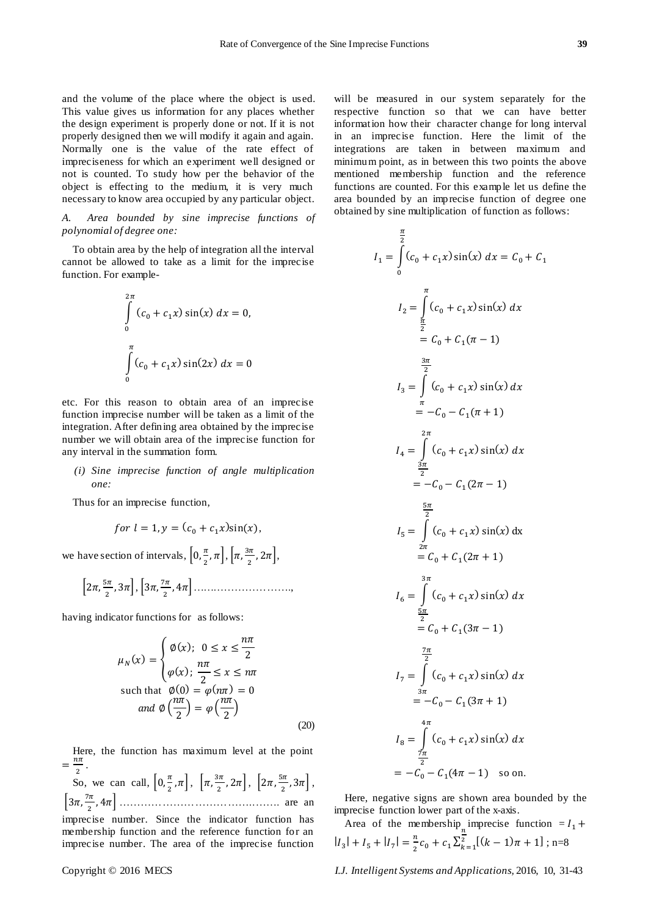and the volume of the place where the object is used. This value gives us information for any places whether the design experiment is properly done or not. If it is not properly designed then we will modify it again and again. Normally one is the value of the rate effect of impreciseness for which an experiment well designed or not is counted. To study how per the behavior of the object is effecting to the medium, it is very much necessary to know area occupied by any particular object.

*A. Area bounded by sine imprecise functions of polynomial of degree one:*

To obtain area by the help of integration all the interval cannot be allowed to take as a limit for the imprecise function. For example-

$$
\int_{0}^{2\pi} (c_0 + c_1 x) \sin(x) dx = 0,
$$
  

$$
\int_{0}^{\pi} (c_0 + c_1 x) \sin(2x) dx = 0
$$

etc. For this reason to obtain area of an imprecise function imprecise number will be taken as a limit of the integration. After defining area obtained by the imprecise number we will obtain area of the imprecise function for any interval in the summation form.

# *(i) Sine imprecise function of angle multiplication one:*

Thus for an imprecise function,

for 
$$
l = 1
$$
,  $y = (c_0 + c_1 x) \sin(x)$ ,

we have section of intervals,  $\left[0, \frac{\pi}{2}\right]$  $\frac{\pi}{2}$ ,  $\pi$ ,  $\left[\pi,\frac{3}{2}\right]$  $\frac{\pi}{2}$ ,  $2\pi$ ,

$$
\left[2\pi,\frac{5\pi}{2},3\pi\right],\left[3\pi,\frac{7\pi}{2},4\pi\right],\ldots
$$

having indicator functions for as follows:

$$
\mu_N(x) = \begin{cases} \emptyset(x); & 0 \le x \le \frac{n\pi}{2} \\ \varphi(x); & \frac{n\pi}{2} \le x \le n\pi \end{cases}
$$
  
such that  $\emptyset(0) = \varphi(n\pi) = 0$   
and  $\emptyset(\frac{n\pi}{2}) = \varphi(\frac{n\pi}{2})$  (20)

Here, the function has maximum level at the point  $=\frac{n}{2}$  $\frac{m}{2}$ .

So, we can call,  $\left[0, \frac{\pi}{2}\right]$  $\left[\frac{\pi}{2}, \pi\right], \left[\pi, \frac{3}{2}\right]$  $\left[\frac{3\pi}{2}, 2\pi\right], \left[2\pi, \frac{5\pi}{2}\right]$  $\frac{\pi}{2}$ , 3 $\pi$ ,  $\left[3\pi,\frac{7}{2}\right]$  + ………………………………..……. are an imprecise number. Since the indicator function has membership function and the reference function for an

imprecise number. The area of the imprecise function

will be measured in our system separately for the respective function so that we can have better information how their character change for long interval in an imprecise function. Here the limit of the integrations are taken in between maximum and minimum point, as in between this two points the above mentioned membership function and the reference functions are counted. For this example let us define the area bounded by an imprecise function of degree one obtained by sine multiplication of function as follows:

$$
I_{1} = \int_{0}^{\frac{\pi}{2}} (c_{0} + c_{1}x) \sin(x) dx = C_{0} + C_{1}
$$
\n
$$
I_{2} = \int_{\frac{\pi}{2}}^{\pi} (c_{0} + c_{1}x) \sin(x) dx
$$
\n
$$
= C_{0} + C_{1}(\pi - 1)
$$
\n
$$
\frac{3\pi}{2}
$$
\n
$$
I_{3} = \int_{\frac{\pi}{2}}^{\frac{\pi}{2}} (c_{0} + c_{1}x) \sin(x) dx
$$
\n
$$
= -C_{0} - C_{1}(\pi + 1)
$$
\n
$$
I_{4} = \int_{\frac{2\pi}{2}}^{\frac{2\pi}{2}} (c_{0} + c_{1}x) \sin(x) dx
$$
\n
$$
= -C_{0} - C_{1}(2\pi - 1)
$$
\n
$$
\frac{5\pi}{2}
$$
\n
$$
I_{5} = \int_{\frac{2\pi}{2}}^{\frac{\pi}{2}} (c_{0} + c_{1}x) \sin(x) dx
$$
\n
$$
= C_{0} + C_{1}(2\pi + 1)
$$
\n
$$
\frac{3\pi}{2}
$$
\n
$$
I_{6} = \int_{\frac{5\pi}{2}}^{\frac{\pi}{2}} (c_{0} + c_{1}x) \sin(x) dx
$$
\n
$$
= -C_{0} + C_{1}(3\pi - 1)
$$
\n
$$
\frac{7\pi}{2}
$$
\n
$$
I_{7} = \int_{\frac{7\pi}{2}}^{\frac{\pi}{2}} (c_{0} + c_{1}x) \sin(x) dx
$$
\n
$$
= -C_{0} - C_{1}(3\pi + 1)
$$
\n
$$
I_{8} = \int_{\frac{\pi}{2}}^{\frac{\pi}{2}} (c_{0} + c_{1}x) \sin(x) dx
$$
\n
$$
= -C_{0} - C_{1}(4\pi - 1) \quad \text{so on.}
$$

Here, negative signs are shown area bounded by the imprecise function lower part of the x-axis.

Area of the membership imprecise function  $=$  *I*  $|I_3| + |I_5| + |I_7| = \frac{n}{2}$  $\frac{n}{2}c_0 + c_1 \sum_{k=1}^{\infty}$  $\frac{2}{k-1}[(k-1)\pi+1]$ ; n=8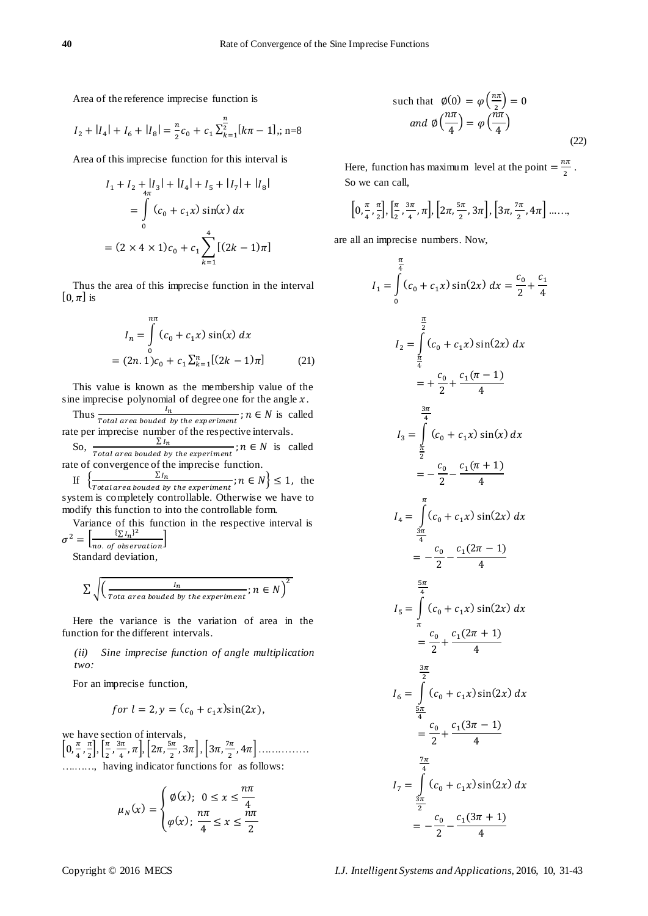Area of the reference imprecise function is

$$
I_2 + |I_4| + I_6 + |I_8| = \frac{n}{2}c_0 + c_1 \sum_{k=1}^{\frac{n}{2}} [k\pi - 1]; \quad n = 8
$$

Area of this imprecise function for this interval is

$$
I_1 + I_2 + |I_3| + |I_4| + I_5 + |I_7| + |I_8|
$$
  
= 
$$
\int_{0}^{4\pi} (c_0 + c_1 x) \sin(x) dx
$$
  
= 
$$
(2 \times 4 \times 1) c_0 + c_1 \sum_{k=1}^{4} [(2k - 1)\pi]
$$

Thus the area of this imprecise function in the interval [0, $\pi$ ] is

$$
I_n = \int_{0}^{n\pi} (c_0 + c_1 x) \sin(x) dx
$$
  
=  $(2n.1)c_0 + c_1 \sum_{k=1}^{n} [(2k - 1)\pi]$  (21)

This value is known as the membership value of the sine imprecise polynomial of degree one for the angle  $x$ .

Thus  $\frac{n}{Total\ area\ bounded\ by\ the\ experiment}$ ;  $n \in N$  is called rate per imprecise number of the respective intervals.

So,  $\frac{\sum I}{\sum I}$  $\frac{\sum t_i}{\sum t_i}$  is called  $\sum t_i$  is called rate of convergence of the imprecise function.

If , ∑  $\frac{\sum t_n}{\sum t_n}$ ;  $n \in N$   $\leq 1$ , the system is completely controllable. Otherwise we have to modify this function to into the controllable form.

Variance of this function in the respective interval is  $\sigma^2 = \left[ \frac{\sum l_n}{\sum l_n} \right]$  $\frac{(2 \ln 3)}{10 \cdot \text{of observation}}$ 

Standard deviation,

$$
\sum \sqrt{\left(\frac{l_n}{\text{Total area bounded by the experiment}}; n \in N\right)^2}
$$

Here the variance is the variation of area in the function for the different intervals.

*(ii) Sine imprecise function of angle multiplication two:*

For an imprecise function,

for 
$$
l = 2
$$
,  $y = (c_0 + c_1 x) \sin(2x)$ ,

we have section of intervals,  $\left[0,\frac{\pi}{2}\right]$  $\frac{\pi}{4}, \frac{\pi}{2}$  $\frac{\pi}{2}$ ,  $\left[\frac{\pi}{2}\right]$  $\frac{\pi}{2}$ ,  $\frac{3}{4}$  $\left[\frac{3\pi}{4}, \pi\right], \left[2\pi, \frac{5\pi}{4}\right]$  $\left[\frac{3\pi}{2}, 3\pi\right], \left[3\pi, \frac{7\pi}{2}\right]$  +…………… ….……, having indicator functions for as follows:

$$
\mu_N(x) = \begin{cases} \phi(x); & 0 \le x \le \frac{n\pi}{4} \\ \varphi(x); & \frac{n\pi}{4} \le x \le \frac{n\pi}{2} \end{cases}
$$

such that 
$$
\emptyset(0) = \varphi\left(\frac{n\pi}{2}\right) = 0
$$
  
and  $\emptyset\left(\frac{n\pi}{4}\right) = \varphi\left(\frac{n\pi}{4}\right)$  (22)

Here, function has maximum level at the point  $=\frac{n}{f}$  $\frac{1}{2}$ . So we can call,

$$
\left[0, \frac{\pi}{4}, \frac{\pi}{2}\right], \left[\frac{\pi}{2}, \frac{3\pi}{4}, \pi\right], \left[2\pi, \frac{5\pi}{2}, 3\pi\right], \left[3\pi, \frac{7\pi}{2}, 4\pi\right], \dots
$$

are all an imprecise numbers. Now,

$$
I_{1} = \int_{0}^{\frac{\pi}{4}} (c_{0} + c_{1}x) \sin(2x) dx = \frac{c_{0}}{2} + \frac{c_{1}}{4}
$$
  
\n
$$
I_{2} = \int_{\frac{\pi}{4}}^{\frac{\pi}{2}} (c_{0} + c_{1}x) \sin(2x) dx
$$
  
\n
$$
= + \frac{c_{0}}{2} + \frac{c_{1}(\pi - 1)}{4}
$$
  
\n
$$
I_{3} = \int_{\frac{\pi}{4}}^{\frac{3\pi}{4}} (c_{0} + c_{1}x) \sin(x) dx
$$
  
\n
$$
= -\frac{c_{0}}{2} - \frac{c_{1}(\pi + 1)}{4}
$$
  
\n
$$
I_{4} = \int_{\frac{3\pi}{4}}^{\pi} (c_{0} + c_{1}x) \sin(2x) dx
$$
  
\n
$$
= -\frac{c_{0}}{2} - \frac{c_{1}(2\pi - 1)}{4}
$$
  
\n
$$
I_{5} = \int_{\frac{\pi}{4}}^{\frac{\pi}{4}} (c_{0} + c_{1}x) \sin(2x) dx
$$
  
\n
$$
= \frac{c_{0}}{2} + \frac{c_{1}(2\pi + 1)}{4}
$$
  
\n
$$
I_{6} = \int_{\frac{\pi}{4}}^{\frac{3\pi}{2}} (c_{0} + c_{1}x) \sin(2x) dx
$$
  
\n
$$
= \frac{c_{0}}{2} + \frac{c_{1}(3\pi - 1)}{4}
$$
  
\n
$$
I_{7} = \int_{\frac{3\pi}{2}}^{\frac{7\pi}{4}} (c_{0} + c_{1}x) \sin(2x) dx
$$
  
\n
$$
= -\frac{c_{0}}{2} - \frac{c_{1}(3\pi + 1)}{4}
$$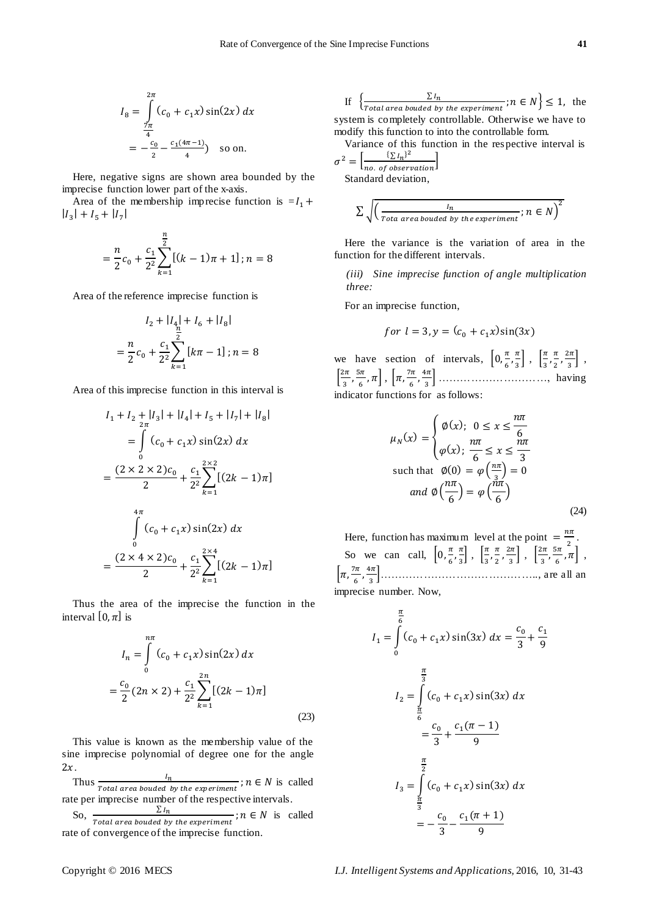$$
I_8 = \int_{\frac{7\pi}{4}}^{2\pi} (c_0 + c_1 x) \sin(2x) dx
$$
  
=  $-\frac{c_0}{2} - \frac{c_1(4\pi - 1)}{4}$  so on.

Here, negative signs are shown area bounded by the imprecise function lower part of the x-axis.

Area of the membership imprecise function is  $=I_1 +$  $|I_3| + |I_5| + |I_7|$ 

$$
= \frac{n}{2}c_0 + \frac{c_1}{2^2}\sum_{k=1}^{\frac{n}{2}} [(k-1)\pi + 1]; n = 8
$$

Area of the reference imprecise function is

$$
I_2 + |I_4| + |I_6 + |I_8|
$$
  
=  $\frac{n}{2}c_0 + \frac{c_1}{2^2} \sum_{k=1}^{\infty} [k\pi - 1]; n = 8$ 

Area of this imprecise function in this interval is

$$
I_1 + I_2 + |I_3| + |I_4| + I_5 + |I_7| + |I_8|
$$
  
= 
$$
\int_{0}^{1} (c_0 + c_1 x) \sin(2x) dx
$$
  
= 
$$
\frac{(2 \times 2 \times 2)c_0}{2} + \frac{c_1}{2^2} \sum_{k=1}^{2 \times 2} [(2k - 1)\pi]
$$
  

$$
\int_{0}^{4\pi} (c_0 + c_1 x) \sin(2x) dx
$$
  
= 
$$
\frac{(2 \times 4 \times 2)c_0}{2} + \frac{c_1}{2^2} \sum_{k=1}^{2 \times 4} [(2k - 1)\pi]
$$

Thus the area of the imprecise the function in the interval [0,  $\pi$ ] is

$$
I_n = \int_0^{n\pi} (c_0 + c_1 x) \sin(2x) dx
$$
  
=  $\frac{c_0}{2} (2n \times 2) + \frac{c_1}{2^2} \sum_{k=1}^{2n} [(2k - 1)\pi]$  (23)

This value is known as the membership value of the sine imprecise polynomial of degree one for the angle  $2x$ .

Thus  $\frac{n}{Total\ area\ bounded\ by\ the\ experiment}$ ;  $n \in N$  is called rate per imprecise number of the respective intervals.

So,  $\frac{\sum l}{\sum l}$  $\frac{\Delta n}{\Delta n}$  is called  $\Delta n$  is called  $\Delta n$  is called rate of convergence of the imprecise function.

If 
$$
\left\{ \frac{\sum I_n}{\text{Total area bounded by the experiment}}; n \in N \right\} \le 1
$$
, the system is completely controllable. Otherwise we have to modify this function to into the controllable form.

Variance of this function in the respective interval is  $\sigma^2 = \left[\frac{\sum I_n}{\sum I_n}\right]$  $\perp$ 

$$
= \left[\frac{1}{\text{no. of observation}}\right]
$$
  
Standard deviation,

$$
\sum \sqrt{\left(\frac{l_n}{\text{Total area bounded by the experiment}}; n \in N\right)^2}
$$

Here the variance is the variation of area in the function for the different intervals.

*(iii) Sine imprecise function of angle multiplication three:*

For an imprecise function,

$$
for l = 3, y = (c_0 + c_1 x)sin(3x)
$$

we have section of intervals,  $\left[0, \frac{\pi}{6}\right]$  $\frac{\pi}{6}, \frac{\pi}{3}$  $\left[\frac{\pi}{3}\right]$ ,  $\left[\frac{\pi}{3}\right]$  $\frac{\pi}{3}, \frac{\pi}{2}$  $\frac{\pi}{2}$ ,  $\frac{2}{\pi}$  $\frac{2\pi}{3}$ ,  $\left\lceil \frac{2}{\epsilon} \right\rceil$  $\frac{2\pi}{3}, \frac{5\pi}{3}$  $\left[\frac{5\pi}{6}, \pi\right], \left[\pi, \frac{7}{4}\right]$  $\frac{7\pi}{6}, \frac{4\pi}{1}$  + …………………………, having indicator functions for as follows:

$$
\mu_N(x) = \begin{cases} \emptyset(x); & 0 \le x \le \frac{n\pi}{6} \\ \varphi(x); & \frac{n\pi}{6} \le x \le \frac{n\pi}{3} \end{cases}
$$
  
such that  $\emptyset(0) = \varphi\left(\frac{n\pi}{3}\right) = 0$   
and  $\emptyset\left(\frac{n\pi}{6}\right) = \varphi\left(\frac{n\pi}{6}\right)$  (24)

Here, function has maximum level at the point  $=$   $\frac{n}{l}$  $\frac{m}{2}$ . So we can call,  $\left[0, \frac{\pi}{6}\right]$  $\frac{\pi}{6}, \frac{\pi}{3}$  $\frac{\pi}{3}$ ,  $\frac{\pi}{3}$  $\frac{\pi}{3}, \frac{\pi}{2}$  $\frac{\pi}{2}$ ,  $\frac{2}{3}$  $\left[\frac{2\pi}{3}\right], \left[\frac{2\pi}{3}\right]$  $\frac{2\pi}{3}, \frac{5}{4}$  $\frac{5\pi}{6}, \pi$ ,  $\left[\pi,\frac{7}{2}\right]$  $\frac{7\pi}{6}, \frac{4\pi}{1}$  +…………………………………….., are all an imprecise number. Now,

$$
I_1 = \int_0^{\frac{\pi}{6}} (c_0 + c_1 x) \sin(3x) dx = \frac{c_0}{3} + \frac{c_1}{9}
$$
  

$$
I_2 = \int_0^{\frac{\pi}{3}} (c_0 + c_1 x) \sin(3x) dx
$$
  

$$
= \frac{c_0}{3} + \frac{c_1(\pi - 1)}{9}
$$
  

$$
I_3 = \int_0^{\frac{\pi}{2}} (c_0 + c_1 x) \sin(3x) dx
$$
  

$$
= -\frac{c_0}{3} - \frac{c_1(\pi + 1)}{9}
$$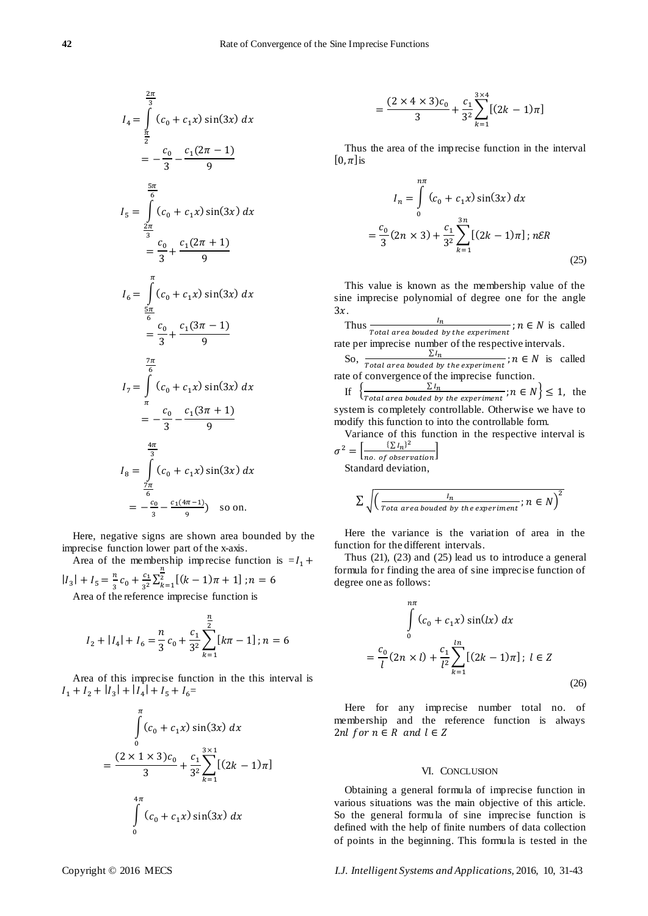$$
I_4 = \int_{\frac{\pi}{3}}^{\frac{2\pi}{3}} (c_0 + c_1 x) \sin(3x) dx
$$
  
\n
$$
= -\frac{c_0}{3} - \frac{c_1(2\pi - 1)}{9}
$$
  
\n
$$
I_5 = \int_{\frac{2\pi}{3}}^{\frac{5\pi}{6}} (c_0 + c_1 x) \sin(3x) dx
$$
  
\n
$$
= \frac{c_0}{3} + \frac{c_1(2\pi + 1)}{9}
$$
  
\n
$$
I_6 = \int_{\frac{5\pi}{6}}^{\pi} (c_0 + c_1 x) \sin(3x) dx
$$
  
\n
$$
= \frac{c_0}{3} + \frac{c_1(3\pi - 1)}{9}
$$
  
\n
$$
I_7 = \int_{\frac{\pi}{6}}^{\frac{\pi}{6}} (c_0 + c_1 x) \sin(3x) dx
$$
  
\n
$$
= -\frac{c_0}{3} - \frac{c_1(3\pi + 1)}{9}
$$
  
\n
$$
\frac{4\pi}{3}
$$
  
\n
$$
I_8 = \int_{\frac{7\pi}{6}}^{\frac{4\pi}{3}} (c_0 + c_1 x) \sin(3x) dx
$$
  
\n
$$
= -\frac{c_0}{3} - \frac{c_1(4\pi - 1)}{9} \text{ so on.}
$$

Here, negative signs are shown area bounded by the imprecise function lower part of the x-axis.

Area of the membership imprecise function is  $=I_1 +$  $|I_3| + I_5 = \frac{n}{2}$  $rac{c_1}{3^2} \sum_{k=1}^n$ 

 $\frac{n}{3}c_0+\frac{c}{3}$  $\binom{2}{k-1}$   $(k-1)\pi + 1$  ; Area of the reference imprecise function is

$$
I_2 + |I_4| + I_6 = \frac{n}{3}c_0 + \frac{c_1}{3^2} \sum_{k=1}^{\frac{n}{2}} [k\pi - 1]; n = 6
$$

Area of this imprecise function in the this interval is  $|I_1 + I_2 + |I_3| + |I_4| + |I_5 + I_6 =$ 

$$
\int_{0}^{\pi} (c_0 + c_1 x) \sin(3x) dx
$$
  
= 
$$
\frac{(2 \times 1 \times 3)c_0}{3} + \frac{c_1}{3^2} \sum_{k=1}^{3 \times 1} [(2k - 1)\pi]
$$
  

$$
\int_{0}^{4\pi} (c_0 + c_1 x) \sin(3x) dx
$$

$$
=\frac{(2\times4\times3)c_0}{3}+\frac{c_1}{3^2}\sum_{k=1}^{3\times4}[(2k-1)\pi]
$$

Thus the area of the imprecise function in the interval  $[0,\pi]$ is

$$
I_n = \int_{0}^{n\pi} (c_0 + c_1 x) \sin(3x) dx
$$
  

$$
\frac{c_0}{3} (2n \times 3) + \frac{c_1}{3^2} \sum_{k=1}^{3n} [(2k - 1)\pi] ; n \in \mathbb{R}
$$
 (25)

This value is known as the membership value of the sine imprecise polynomial of degree one for the angle  $3x$ .

Thus  $\frac{n}{Total\ area\ bounded\ by\ the\ experiment}$ ;  $n \in N$  is called rate per imprecise number of the respective intervals.

So,  $\frac{\sum l}{\sum l}$  $\frac{\Delta n}{\Delta}$  is called  $\Delta$  is called  $\Delta$  is called rate of convergence of the imprecise function.

If  $\left\{\frac{\sum l}{\sum l \text{ and } \sum l \text{ and } \sum l} \right\}$  $\frac{\sum t_n}{\sum t_n}$ ;  $n \in N$   $\leq 1$ , the system is completely controllable. Otherwise we have to modify this function to into the controllable form.

Variance of this function in the respective interval is  $\sigma^2 = \left[ \frac{\sum l_n}{\sum l_n} \right]$  $\frac{(2 \ln 3)}{n_0 \cdot \text{ of observation}}$ 

Standard deviation,

 $\equiv$ 

$$
\sum \sqrt{\left(\frac{l_n}{\text{Total area bounded by the experiment}}; n \in N\right)^2}
$$

Here the variance is the variation of area in the function for the different intervals.

Thus (21), (23) and (25) lead us to introduce a general formula for finding the area of sine imprecise function of degree one as follows:

$$
\int_{0}^{n\pi} (c_0 + c_1 x) \sin(lx) dx
$$
  
=  $\frac{c_0}{l} (2n \times l) + \frac{c_1}{l^2} \sum_{k=1}^{l} [(2k - 1)\pi]; l \in Z$  (26)

Here for any imprecise number total no. of membership and the reference function is always 2nl for  $n \in R$  and  $l \in Z$ 

## VI. CONCLUSION

Obtaining a general formula of imprecise function in various situations was the main objective of this article. So the general formula of sine imprecise function is defined with the help of finite numbers of data collection of points in the beginning. This formula is tested in the